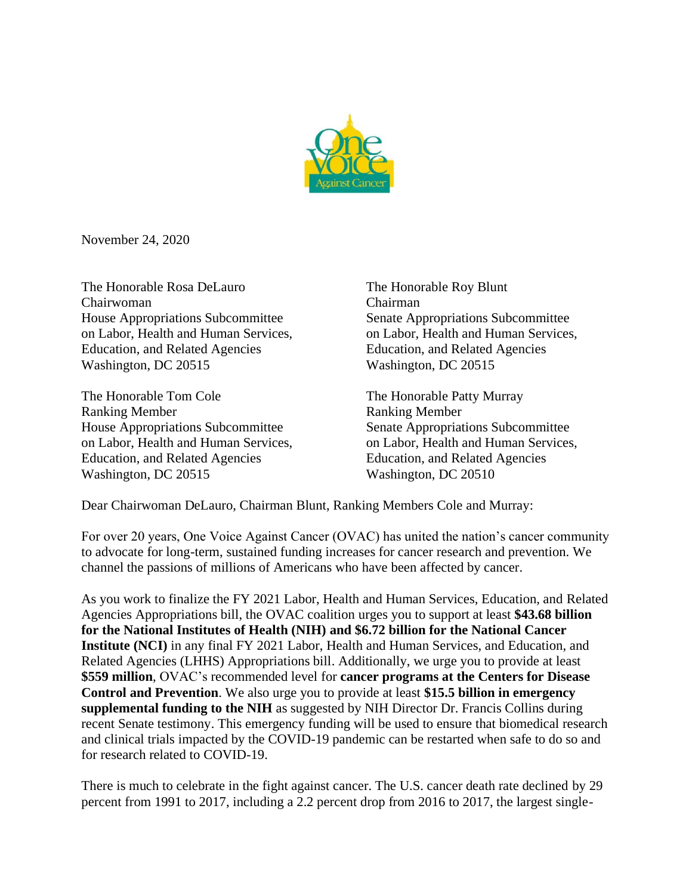

November 24, 2020

The Honorable Rosa DeLauro The Honorable Roy Blunt Chairwoman Chairman House Appropriations Subcommittee Senate Appropriations Subcommittee on Labor, Health and Human Services, on Labor, Health and Human Services, Education, and Related Agencies Education, and Related Agencies Washington, DC 20515 Washington, DC 20515

The Honorable Tom Cole The Honorable Patty Murray Ranking Member Ranking Member House Appropriations Subcommittee Senate Appropriations Subcommittee on Labor, Health and Human Services, on Labor, Health and Human Services, Education, and Related Agencies Education, and Related Agencies Washington, DC 20515 Washington, DC 20510

Dear Chairwoman DeLauro, Chairman Blunt, Ranking Members Cole and Murray:

For over 20 years, One Voice Against Cancer (OVAC) has united the nation's cancer community to advocate for long-term, sustained funding increases for cancer research and prevention. We channel the passions of millions of Americans who have been affected by cancer.

As you work to finalize the FY 2021 Labor, Health and Human Services, Education, and Related Agencies Appropriations bill, the OVAC coalition urges you to support at least **\$43.68 billion for the National Institutes of Health (NIH) and \$6.72 billion for the National Cancer Institute (NCI)** in any final FY 2021 Labor, Health and Human Services, and Education, and Related Agencies (LHHS) Appropriations bill. Additionally, we urge you to provide at least **\$559 million**, OVAC's recommended level for **cancer programs at the Centers for Disease Control and Prevention**. We also urge you to provide at least **\$15.5 billion in emergency supplemental funding to the NIH** as suggested by NIH Director Dr. Francis Collins during recent Senate testimony. This emergency funding will be used to ensure that biomedical research and clinical trials impacted by the COVID-19 pandemic can be restarted when safe to do so and for research related to COVID-19.

There is much to celebrate in the fight against cancer. The U.S. cancer death rate declined by 29 percent from 1991 to 2017, including a 2.2 percent drop from 2016 to 2017, the largest single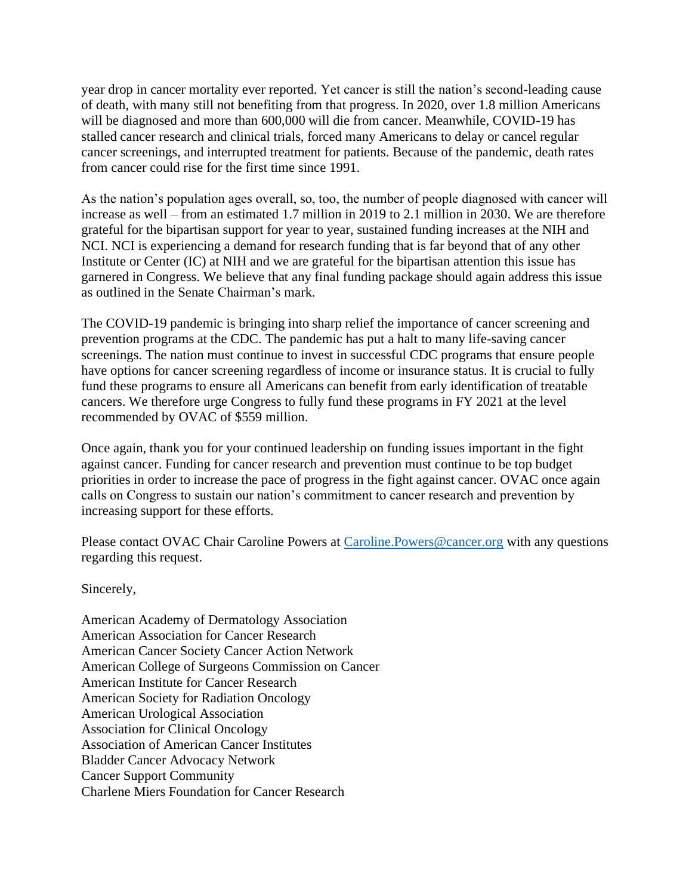year drop in cancer mortality ever reported. Yet cancer is still the nation's second-leading cause of death, with many still not benefiting from that progress. In 2020, over 1.8 million Americans will be diagnosed and more than 600,000 will die from cancer. Meanwhile, COVID-19 has stalled cancer research and clinical trials, forced many Americans to delay or cancel regular cancer screenings, and interrupted treatment for patients. Because of the pandemic, death rates from cancer could rise for the first time since 1991.

As the nation's population ages overall, so, too, the number of people diagnosed with cancer will increase as well – from an estimated 1.7 million in 2019 to 2.1 million in 2030. We are therefore grateful for the bipartisan support for year to year, sustained funding increases at the NIH and NCI. NCI is experiencing a demand for research funding that is far beyond that of any other Institute or Center (IC) at NIH and we are grateful for the bipartisan attention this issue has garnered in Congress. We believe that any final funding package should again address this issue as outlined in the Senate Chairman's mark.

The COVID-19 pandemic is bringing into sharp relief the importance of cancer screening and prevention programs at the CDC. The pandemic has put a halt to many life-saving cancer screenings. The nation must continue to invest in successful CDC programs that ensure people have options for cancer screening regardless of income or insurance status. It is crucial to fully fund these programs to ensure all Americans can benefit from early identification of treatable cancers. We therefore urge Congress to fully fund these programs in FY 2021 at the level recommended by OVAC of \$559 million.

Once again, thank you for your continued leadership on funding issues important in the fight against cancer. Funding for cancer research and prevention must continue to be top budget priorities in order to increase the pace of progress in the fight against cancer. OVAC once again calls on Congress to sustain our nation's commitment to cancer research and prevention by increasing support for these efforts.

Please contact OVAC Chair Caroline Powers at Caroline. Powers@cancer.org with any questions regarding this request.

Sincerely,

American Academy of Dermatology Association American Association for Cancer Research American Cancer Society Cancer Action Network American College of Surgeons Commission on Cancer American Institute for Cancer Research American Society for Radiation Oncology American Urological Association Association for Clinical Oncology Association of American Cancer Institutes Bladder Cancer Advocacy Network Cancer Support Community Charlene Miers Foundation for Cancer Research